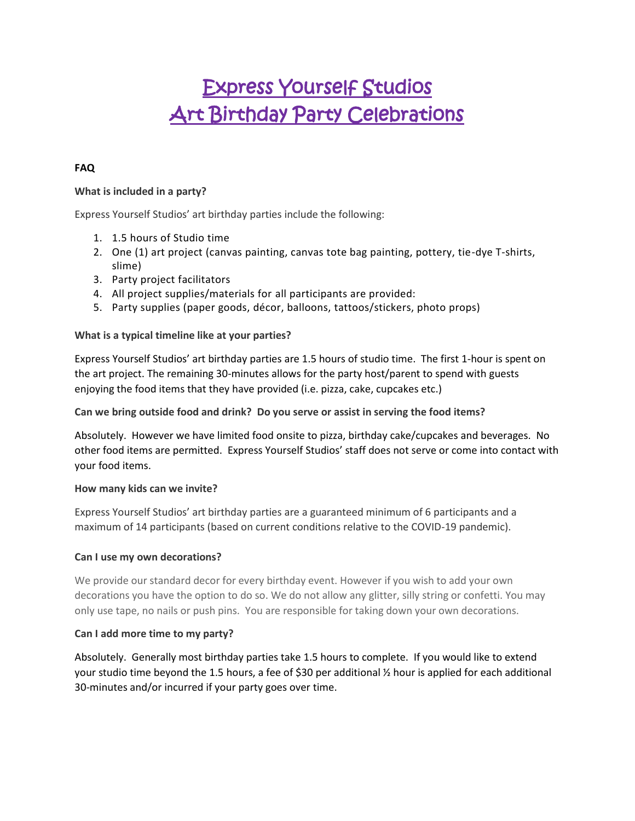# Express Yourself Studios Art Birthday Party Celebrations

# **FAQ**

## **What is included in a party?**

Express Yourself Studios' art birthday parties include the following:

- 1. 1.5 hours of Studio time
- 2. One (1) art project (canvas painting, canvas tote bag painting, pottery, tie-dye T-shirts, slime)
- 3. Party project facilitators
- 4. All project supplies/materials for all participants are provided:
- 5. Party supplies (paper goods, décor, balloons, tattoos/stickers, photo props)

#### **What is a typical timeline like at your parties?**

Express Yourself Studios' art birthday parties are 1.5 hours of studio time. The first 1-hour is spent on the art project. The remaining 30-minutes allows for the party host/parent to spend with guests enjoying the food items that they have provided (i.e. pizza, cake, cupcakes etc.)

#### **Can we bring outside food and drink? Do you serve or assist in serving the food items?**

Absolutely. However we have limited food onsite to pizza, birthday cake/cupcakes and beverages. No other food items are permitted. Express Yourself Studios' staff does not serve or come into contact with your food items.

#### **How many kids can we invite?**

Express Yourself Studios' art birthday parties are a guaranteed minimum of 6 participants and a maximum of 14 participants (based on current conditions relative to the COVID-19 pandemic).

#### **Can I use my own decorations?**

We provide our standard decor for every birthday event. However if you wish to add your own decorations you have the option to do so. We do not allow any glitter, silly string or confetti. You may only use tape, no nails or push pins. You are responsible for taking down your own decorations.

#### **Can I add more time to my party?**

Absolutely. Generally most birthday parties take 1.5 hours to complete. If you would like to extend your studio time beyond the 1.5 hours, a fee of \$30 per additional ½ hour is applied for each additional 30-minutes and/or incurred if your party goes over time.